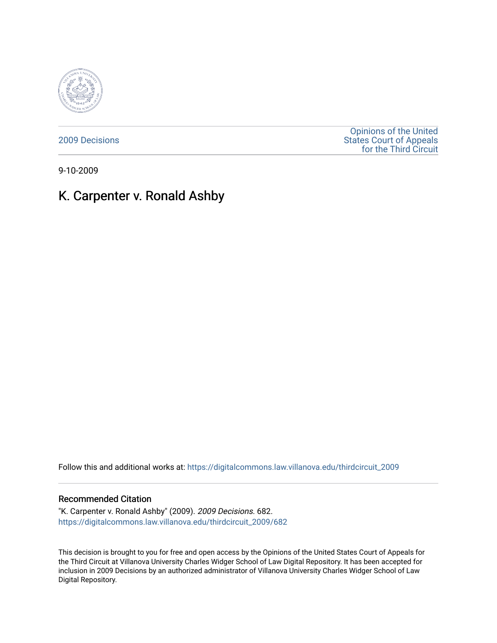

[2009 Decisions](https://digitalcommons.law.villanova.edu/thirdcircuit_2009)

[Opinions of the United](https://digitalcommons.law.villanova.edu/thirdcircuit)  [States Court of Appeals](https://digitalcommons.law.villanova.edu/thirdcircuit)  [for the Third Circuit](https://digitalcommons.law.villanova.edu/thirdcircuit) 

9-10-2009

# K. Carpenter v. Ronald Ashby

Follow this and additional works at: [https://digitalcommons.law.villanova.edu/thirdcircuit\\_2009](https://digitalcommons.law.villanova.edu/thirdcircuit_2009?utm_source=digitalcommons.law.villanova.edu%2Fthirdcircuit_2009%2F682&utm_medium=PDF&utm_campaign=PDFCoverPages) 

## Recommended Citation

"K. Carpenter v. Ronald Ashby" (2009). 2009 Decisions. 682. [https://digitalcommons.law.villanova.edu/thirdcircuit\\_2009/682](https://digitalcommons.law.villanova.edu/thirdcircuit_2009/682?utm_source=digitalcommons.law.villanova.edu%2Fthirdcircuit_2009%2F682&utm_medium=PDF&utm_campaign=PDFCoverPages)

This decision is brought to you for free and open access by the Opinions of the United States Court of Appeals for the Third Circuit at Villanova University Charles Widger School of Law Digital Repository. It has been accepted for inclusion in 2009 Decisions by an authorized administrator of Villanova University Charles Widger School of Law Digital Repository.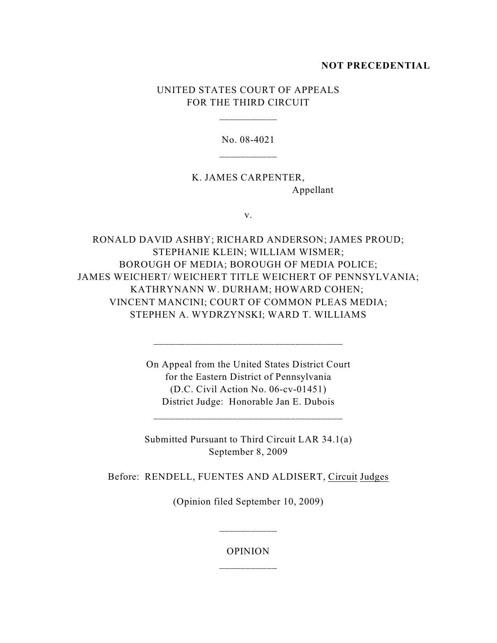# **NOT PRECEDENTIAL**

# UNITED STATES COURT OF APPEALS FOR THE THIRD CIRCUIT

\_\_\_\_\_\_\_\_\_\_\_

No. 08-4021

K. JAMES CARPENTER, Appellant

v.

RONALD DAVID ASHBY; RICHARD ANDERSON; JAMES PROUD; STEPHANIE KLEIN; WILLIAM WISMER; BOROUGH OF MEDIA; BOROUGH OF MEDIA POLICE; JAMES WEICHERT/ WEICHERT TITLE WEICHERT OF PENNSYLVANIA; KATHRYNANN W. DURHAM; HOWARD COHEN; VINCENT MANCINI; COURT OF COMMON PLEAS MEDIA; STEPHEN A. WYDRZYNSKI; WARD T. WILLIAMS

> On Appeal from the United States District Court for the Eastern District of Pennsylvania (D.C. Civil Action No. 06-cv-01451) District Judge: Honorable Jan E. Dubois

\_\_\_\_\_\_\_\_\_\_\_\_\_\_\_\_\_\_\_\_\_\_\_\_\_\_\_\_\_\_\_\_\_\_\_\_

Submitted Pursuant to Third Circuit LAR 34.1(a) September 8, 2009

Before: RENDELL, FUENTES AND ALDISERT, Circuit Judges

(Opinion filed September 10, 2009)

OPINION \_\_\_\_\_\_\_\_\_\_\_

\_\_\_\_\_\_\_\_\_\_\_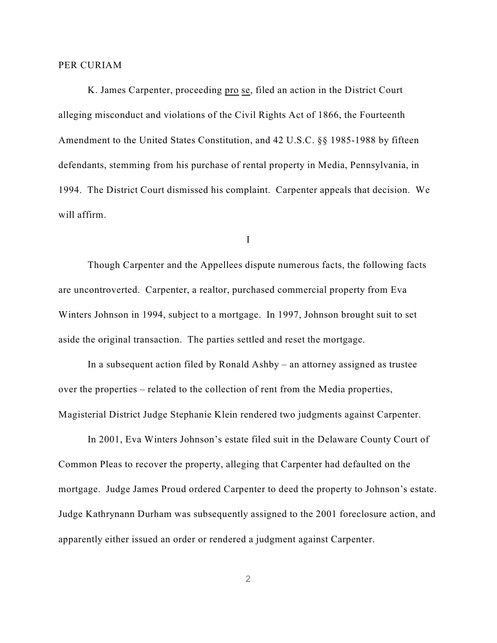#### PER CURIAM

K. James Carpenter, proceeding pro se, filed an action in the District Court alleging misconduct and violations of the Civil Rights Act of 1866, the Fourteenth Amendment to the United States Constitution, and 42 U.S.C. §§ 1985-1988 by fifteen defendants, stemming from his purchase of rental property in Media, Pennsylvania, in 1994. The District Court dismissed his complaint. Carpenter appeals that decision. We will affirm.

I

Though Carpenter and the Appellees dispute numerous facts, the following facts are uncontroverted. Carpenter, a realtor, purchased commercial property from Eva Winters Johnson in 1994, subject to a mortgage. In 1997, Johnson brought suit to set aside the original transaction. The parties settled and reset the mortgage.

In a subsequent action filed by Ronald Ashby – an attorney assigned as trustee over the properties – related to the collection of rent from the Media properties, Magisterial District Judge Stephanie Klein rendered two judgments against Carpenter.

In 2001, Eva Winters Johnson's estate filed suit in the Delaware County Court of Common Pleas to recover the property, alleging that Carpenter had defaulted on the mortgage. Judge James Proud ordered Carpenter to deed the property to Johnson's estate. Judge Kathrynann Durham was subsequently assigned to the 2001 foreclosure action, and apparently either issued an order or rendered a judgment against Carpenter.

2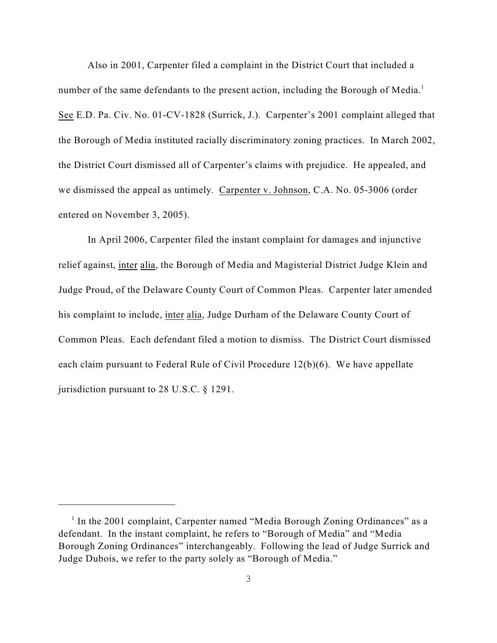Also in 2001, Carpenter filed a complaint in the District Court that included a number of the same defendants to the present action, including the Borough of Media.<sup>1</sup> See E.D. Pa. Civ. No. 01-CV-1828 (Surrick, J.). Carpenter's 2001 complaint alleged that the Borough of Media instituted racially discriminatory zoning practices. In March 2002, the District Court dismissed all of Carpenter's claims with prejudice. He appealed, and we dismissed the appeal as untimely. Carpenter v. Johnson, C.A. No. 05-3006 (order entered on November 3, 2005).

In April 2006, Carpenter filed the instant complaint for damages and injunctive relief against, inter alia, the Borough of Media and Magisterial District Judge Klein and Judge Proud, of the Delaware County Court of Common Pleas. Carpenter later amended his complaint to include, inter alia, Judge Durham of the Delaware County Court of Common Pleas. Each defendant filed a motion to dismiss. The District Court dismissed each claim pursuant to Federal Rule of Civil Procedure 12(b)(6). We have appellate jurisdiction pursuant to 28 U.S.C. § 1291.

 $1$  In the 2001 complaint, Carpenter named "Media Borough Zoning Ordinances" as a defendant. In the instant complaint, he refers to "Borough of Media" and "Media Borough Zoning Ordinances" interchangeably. Following the lead of Judge Surrick and Judge Dubois, we refer to the party solely as "Borough of Media."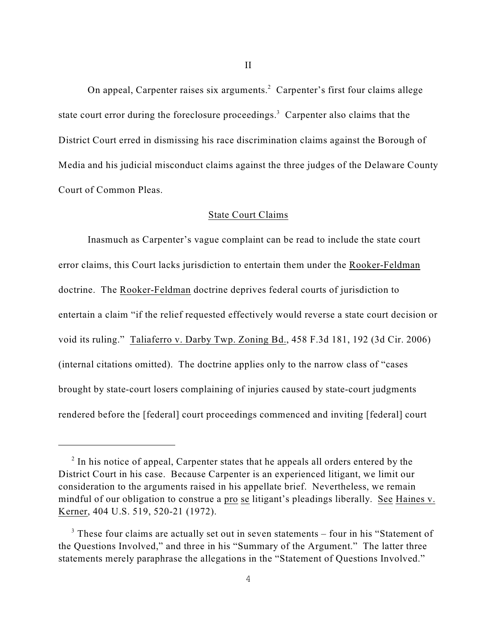On appeal, Carpenter raises six arguments.<sup>2</sup> Carpenter's first four claims allege state court error during the foreclosure proceedings.<sup>3</sup> Carpenter also claims that the District Court erred in dismissing his race discrimination claims against the Borough of Media and his judicial misconduct claims against the three judges of the Delaware County Court of Common Pleas.

## State Court Claims

Inasmuch as Carpenter's vague complaint can be read to include the state court error claims, this Court lacks jurisdiction to entertain them under the Rooker-Feldman doctrine. The Rooker-Feldman doctrine deprives federal courts of jurisdiction to entertain a claim "if the relief requested effectively would reverse a state court decision or void its ruling." Taliaferro v. Darby Twp. Zoning Bd., 458 F.3d 181, 192 (3d Cir. 2006) (internal citations omitted). The doctrine applies only to the narrow class of "cases brought by state-court losers complaining of injuries caused by state-court judgments rendered before the [federal] court proceedings commenced and inviting [federal] court

 $\alpha$ <sup>2</sup> In his notice of appeal, Carpenter states that he appeals all orders entered by the District Court in his case. Because Carpenter is an experienced litigant, we limit our consideration to the arguments raised in his appellate brief. Nevertheless, we remain mindful of our obligation to construe a pro se litigant's pleadings liberally. See Haines v. Kerner, 404 U.S. 519, 520-21 (1972).

 $3$  These four claims are actually set out in seven statements – four in his "Statement of the Questions Involved," and three in his "Summary of the Argument." The latter three statements merely paraphrase the allegations in the "Statement of Questions Involved."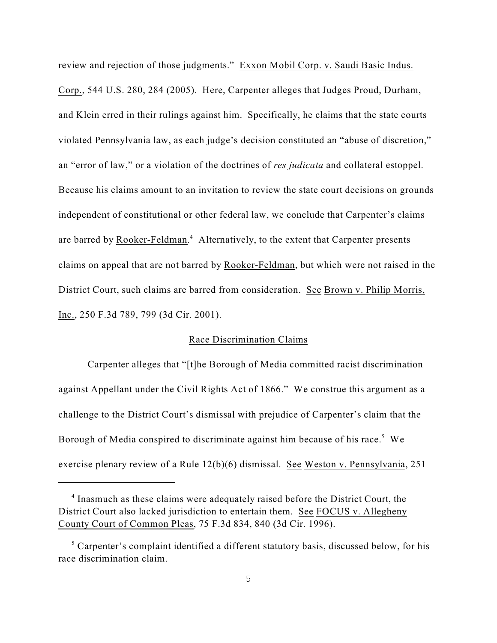review and rejection of those judgments." Exxon Mobil Corp. v. Saudi Basic Indus. Corp., 544 U.S. 280, 284 (2005). Here, Carpenter alleges that Judges Proud, Durham, and Klein erred in their rulings against him. Specifically, he claims that the state courts violated Pennsylvania law, as each judge's decision constituted an "abuse of discretion," an "error of law," or a violation of the doctrines of *res judicata* and collateral estoppel. Because his claims amount to an invitation to review the state court decisions on grounds independent of constitutional or other federal law, we conclude that Carpenter's claims are barred by Rooker-Feldman.<sup>4</sup> Alternatively, to the extent that Carpenter presents claims on appeal that are not barred by Rooker-Feldman, but which were not raised in the District Court, such claims are barred from consideration. See Brown v. Philip Morris, Inc., 250 F.3d 789, 799 (3d Cir. 2001).

# Race Discrimination Claims

Carpenter alleges that "[t]he Borough of Media committed racist discrimination against Appellant under the Civil Rights Act of 1866." We construe this argument as a challenge to the District Court's dismissal with prejudice of Carpenter's claim that the Borough of Media conspired to discriminate against him because of his race.<sup>5</sup> We exercise plenary review of a Rule 12(b)(6) dismissal. See Weston v. Pennsylvania, 251

 $<sup>4</sup>$  Inasmuch as these claims were adequately raised before the District Court, the</sup> District Court also lacked jurisdiction to entertain them. See FOCUS v. Allegheny County Court of Common Pleas, 75 F.3d 834, 840 (3d Cir. 1996).

 $5$  Carpenter's complaint identified a different statutory basis, discussed below, for his race discrimination claim.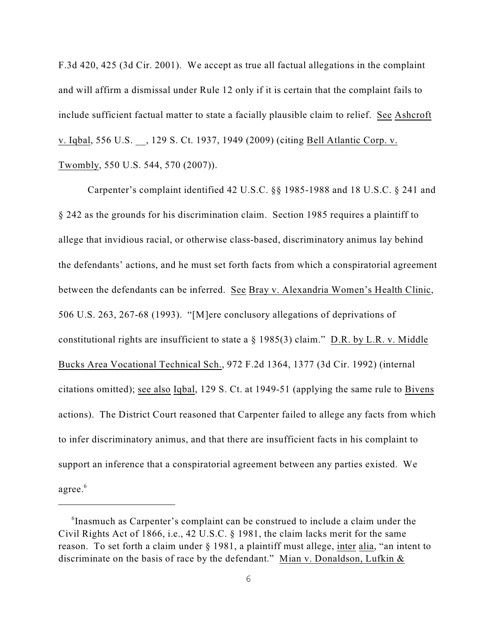F.3d 420, 425 (3d Cir. 2001). We accept as true all factual allegations in the complaint and will affirm a dismissal under Rule 12 only if it is certain that the complaint fails to include sufficient factual matter to state a facially plausible claim to relief. See Ashcroft v. Iqbal, 556 U.S. \_\_, 129 S. Ct. 1937, 1949 (2009) (citing Bell Atlantic Corp. v. Twombly, 550 U.S. 544, 570 (2007)).

Carpenter's complaint identified 42 U.S.C. §§ 1985-1988 and 18 U.S.C. § 241 and § 242 as the grounds for his discrimination claim. Section 1985 requires a plaintiff to allege that invidious racial, or otherwise class-based, discriminatory animus lay behind the defendants' actions, and he must set forth facts from which a conspiratorial agreement between the defendants can be inferred. See Bray v. Alexandria Women's Health Clinic, 506 U.S. 263, 267-68 (1993). "[M]ere conclusory allegations of deprivations of constitutional rights are insufficient to state a § 1985(3) claim." D.R. by L.R. v. Middle Bucks Area Vocational Technical Sch., 972 F.2d 1364, 1377 (3d Cir. 1992) (internal citations omitted); see also Iqbal, 129 S. Ct. at 1949-51 (applying the same rule to Bivens actions). The District Court reasoned that Carpenter failed to allege any facts from which to infer discriminatory animus, and that there are insufficient facts in his complaint to support an inference that a conspiratorial agreement between any parties existed. We agree.<sup>6</sup>

 $\delta$ Inasmuch as Carpenter's complaint can be construed to include a claim under the Civil Rights Act of 1866, i.e., 42 U.S.C. § 1981, the claim lacks merit for the same reason. To set forth a claim under § 1981, a plaintiff must allege, inter alia, "an intent to discriminate on the basis of race by the defendant." Mian v. Donaldson, Lufkin &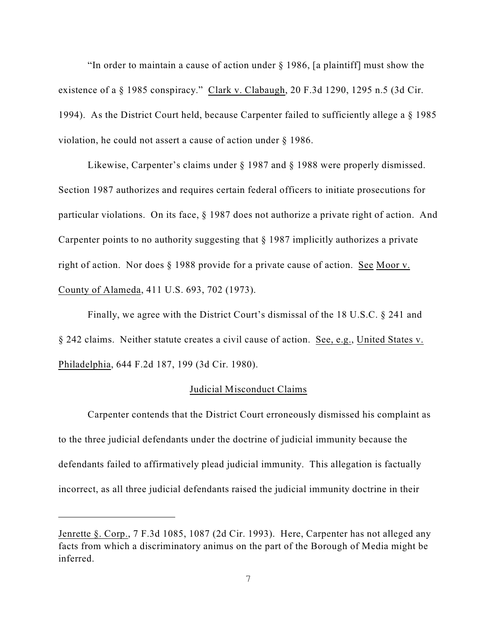"In order to maintain a cause of action under § 1986, [a plaintiff] must show the existence of a § 1985 conspiracy." Clark v. Clabaugh, 20 F.3d 1290, 1295 n.5 (3d Cir. 1994). As the District Court held, because Carpenter failed to sufficiently allege a § 1985 violation, he could not assert a cause of action under § 1986.

Likewise, Carpenter's claims under § 1987 and § 1988 were properly dismissed. Section 1987 authorizes and requires certain federal officers to initiate prosecutions for particular violations. On its face, § 1987 does not authorize a private right of action. And Carpenter points to no authority suggesting that § 1987 implicitly authorizes a private right of action. Nor does § 1988 provide for a private cause of action. See Moor v. County of Alameda, 411 U.S. 693, 702 (1973).

Finally, we agree with the District Court's dismissal of the 18 U.S.C. § 241 and § 242 claims. Neither statute creates a civil cause of action. See, e.g., United States v. Philadelphia, 644 F.2d 187, 199 (3d Cir. 1980).

#### Judicial Misconduct Claims

Carpenter contends that the District Court erroneously dismissed his complaint as to the three judicial defendants under the doctrine of judicial immunity because the defendants failed to affirmatively plead judicial immunity. This allegation is factually incorrect, as all three judicial defendants raised the judicial immunity doctrine in their

Jenrette §. Corp., 7 F.3d 1085, 1087 (2d Cir. 1993). Here, Carpenter has not alleged any facts from which a discriminatory animus on the part of the Borough of Media might be inferred.